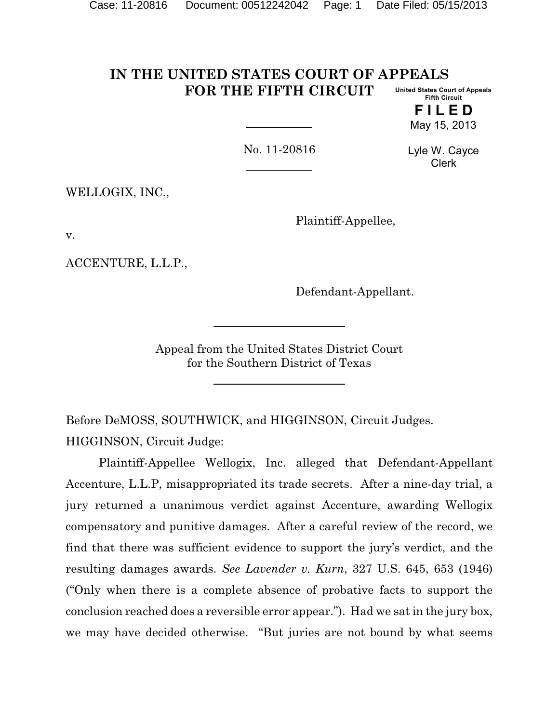#### **IN THE UNITED STATES COURT OF APPEALS FOR THE FIFTH CIRCUIT United States Court of Appeals Fifth Circuit**

**F I L E D** May 15, 2013

No. 11-20816

Lyle W. Cayce Clerk

WELLOGIX, INC.,

Plaintiff-Appellee,

v.

ACCENTURE, L.L.P.,

Defendant-Appellant.

Appeal from the United States District Court for the Southern District of Texas

Before DeMOSS, SOUTHWICK, and HIGGINSON, Circuit Judges. HIGGINSON, Circuit Judge:

Plaintiff-Appellee Wellogix, Inc. alleged that Defendant-Appellant Accenture, L.L.P, misappropriated its trade secrets. After a nine-day trial, a jury returned a unanimous verdict against Accenture, awarding Wellogix compensatory and punitive damages. After a careful review of the record, we find that there was sufficient evidence to support the jury's verdict, and the resulting damages awards. *See Lavender v. Kurn*, 327 U.S. 645, 653 (1946) ("Only when there is a complete absence of probative facts to support the conclusion reached does a reversible error appear."). Had we sat in the jury box, we may have decided otherwise. "But juries are not bound by what seems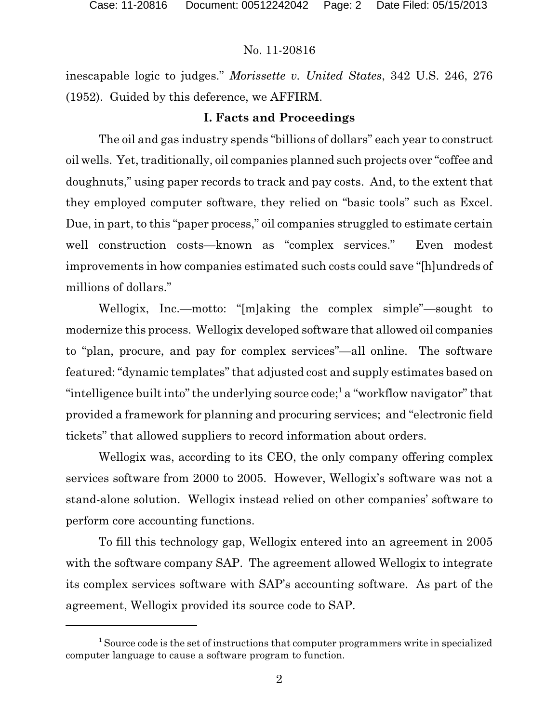inescapable logic to judges." *Morissette v. United States*, 342 U.S. 246, 276 (1952). Guided by this deference, we AFFIRM.

# **I. Facts and Proceedings**

The oil and gas industry spends "billions of dollars" each year to construct oil wells. Yet, traditionally, oil companies planned such projects over "coffee and doughnuts," using paper records to track and pay costs. And, to the extent that they employed computer software, they relied on "basic tools" such as Excel. Due, in part, to this "paper process," oil companies struggled to estimate certain well construction costs—known as "complex services." Even modest improvements in how companies estimated such costs could save "[h]undreds of millions of dollars."

Wellogix, Inc.—motto: "[m]aking the complex simple"—sought to modernize this process. Wellogix developed software that allowed oil companies to "plan, procure, and pay for complex services"—all online. The software featured: "dynamic templates" that adjusted cost and supply estimates based on "intelligence built into" the underlying source code;<sup>1</sup> a "workflow navigator" that provided a framework for planning and procuring services; and "electronic field tickets" that allowed suppliers to record information about orders.

Wellogix was, according to its CEO, the only company offering complex services software from 2000 to 2005. However, Wellogix's software was not a stand-alone solution. Wellogix instead relied on other companies' software to perform core accounting functions.

To fill this technology gap, Wellogix entered into an agreement in 2005 with the software company SAP. The agreement allowed Wellogix to integrate its complex services software with SAP's accounting software. As part of the agreement, Wellogix provided its source code to SAP.

<sup>&</sup>lt;sup>1</sup> Source code is the set of instructions that computer programmers write in specialized computer language to cause a software program to function.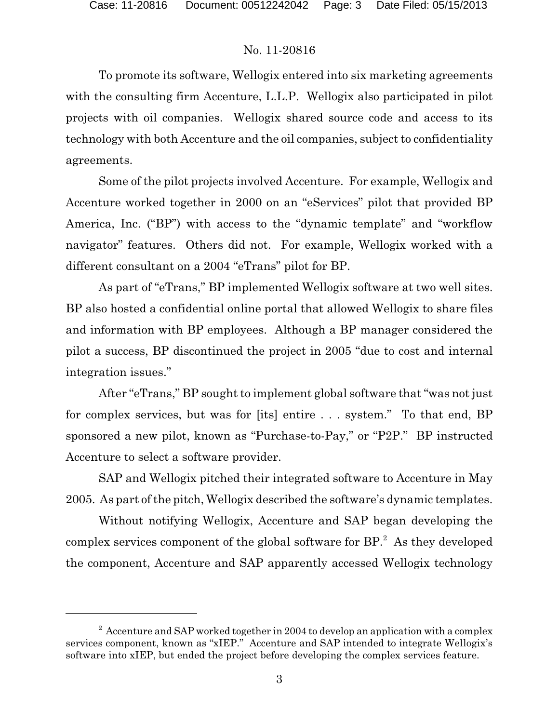To promote its software, Wellogix entered into six marketing agreements with the consulting firm Accenture, L.L.P. Wellogix also participated in pilot projects with oil companies. Wellogix shared source code and access to its technology with both Accenture and the oil companies, subject to confidentiality agreements.

Some of the pilot projects involved Accenture. For example, Wellogix and Accenture worked together in 2000 on an "eServices" pilot that provided BP America, Inc. ("BP") with access to the "dynamic template" and "workflow navigator" features. Others did not. For example, Wellogix worked with a different consultant on a 2004 "eTrans" pilot for BP.

As part of "eTrans," BP implemented Wellogix software at two well sites. BP also hosted a confidential online portal that allowed Wellogix to share files and information with BP employees. Although a BP manager considered the pilot a success, BP discontinued the project in 2005 "due to cost and internal integration issues."

After "eTrans," BP sought to implement global software that "was not just for complex services, but was for [its] entire . . . system." To that end, BP sponsored a new pilot, known as "Purchase-to-Pay," or "P2P." BP instructed Accenture to select a software provider.

SAP and Wellogix pitched their integrated software to Accenture in May 2005. As part of the pitch, Wellogix described the software's dynamic templates.

Without notifying Wellogix, Accenture and SAP began developing the complex services component of the global software for BP.<sup>2</sup> As they developed the component, Accenture and SAP apparently accessed Wellogix technology

 $2$  Accenture and SAP worked together in 2004 to develop an application with a complex services component, known as "xIEP." Accenture and SAP intended to integrate Wellogix's software into xIEP, but ended the project before developing the complex services feature.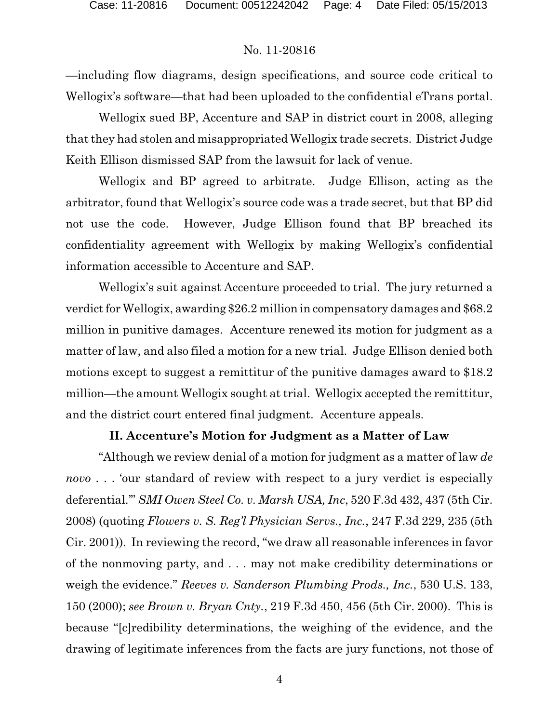—including flow diagrams, design specifications, and source code critical to Wellogix's software—that had been uploaded to the confidential eTrans portal.

Wellogix sued BP, Accenture and SAP in district court in 2008, alleging that they had stolen and misappropriated Wellogix trade secrets. District Judge Keith Ellison dismissed SAP from the lawsuit for lack of venue.

Wellogix and BP agreed to arbitrate. Judge Ellison, acting as the arbitrator, found that Wellogix's source code was a trade secret, but that BP did not use the code. However, Judge Ellison found that BP breached its confidentiality agreement with Wellogix by making Wellogix's confidential information accessible to Accenture and SAP.

Wellogix's suit against Accenture proceeded to trial. The jury returned a verdict for Wellogix, awarding \$26.2 million in compensatory damages and \$68.2 million in punitive damages. Accenture renewed its motion for judgment as a matter of law, and also filed a motion for a new trial. Judge Ellison denied both motions except to suggest a remittitur of the punitive damages award to \$18.2 million—the amount Wellogix sought at trial. Wellogix accepted the remittitur, and the district court entered final judgment. Accenture appeals.

# **II. Accenture's Motion for Judgment as a Matter of Law**

"Although we review denial of a motion for judgment as a matter of law *de novo* . . . 'our standard of review with respect to a jury verdict is especially deferential.'" *SMI Owen Steel Co. v. Marsh USA, Inc*, 520 F.3d 432, 437 (5th Cir. 2008) (quoting *Flowers v. S. Reg'l Physician Servs., Inc.*, 247 F.3d 229, 235 (5th Cir. 2001)). In reviewing the record, "we draw all reasonable inferences in favor of the nonmoving party, and . . . may not make credibility determinations or weigh the evidence." *Reeves v. Sanderson Plumbing Prods., Inc.*, 530 U.S. 133, 150 (2000); *see Brown v. Bryan Cnty.*, 219 F.3d 450, 456 (5th Cir. 2000). This is because "[c]redibility determinations, the weighing of the evidence, and the drawing of legitimate inferences from the facts are jury functions, not those of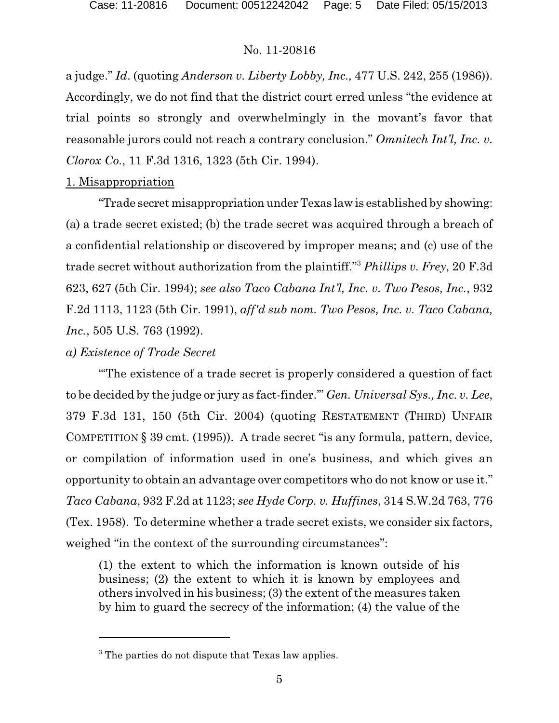a judge." *Id*. (quoting *Anderson v. Liberty Lobby, Inc.,* 477 U.S. 242, 255 (1986)). Accordingly, we do not find that the district court erred unless "the evidence at trial points so strongly and overwhelmingly in the movant's favor that reasonable jurors could not reach a contrary conclusion." *Omnitech Int'l, Inc. v. Clorox Co.*, 11 F.3d 1316, 1323 (5th Cir. 1994).

# 1. Misappropriation

"Trade secret misappropriation underTexas law is established by showing: (a) a trade secret existed; (b) the trade secret was acquired through a breach of a confidential relationship or discovered by improper means; and (c) use of the trade secret without authorization from the plaintiff."<sup>3</sup> *Phillips v. Frey*, 20 F.3d 623, 627 (5th Cir. 1994); *see also Taco Cabana Int'l, Inc. v. Two Pesos, Inc.*, 932 F.2d 1113, 1123 (5th Cir. 1991), *aff'd sub nom. Two Pesos, Inc. v. Taco Cabana, Inc.*, 505 U.S. 763 (1992).

#### *a) Existence of Trade Secret*

"'The existence of a trade secret is properly considered a question of fact to be decided by the judge or jury as fact-finder.'" *Gen. Universal Sys., Inc. v. Lee*, 379 F.3d 131, 150 (5th Cir. 2004) (quoting RESTATEMENT (THIRD) UNFAIR COMPETITION § 39 cmt. (1995)). A trade secret "is any formula, pattern, device, or compilation of information used in one's business, and which gives an opportunity to obtain an advantage over competitors who do not know or use it." *Taco Cabana*, 932 F.2d at 1123; *see Hyde Corp. v. Huffines*, 314 S.W.2d 763, 776 (Tex. 1958). To determine whether a trade secret exists, we consider six factors, weighed "in the context of the surrounding circumstances":

(1) the extent to which the information is known outside of his business; (2) the extent to which it is known by employees and others involved in his business; (3) the extent of the measures taken by him to guard the secrecy of the information; (4) the value of the

<sup>&</sup>lt;sup>3</sup> The parties do not dispute that Texas law applies.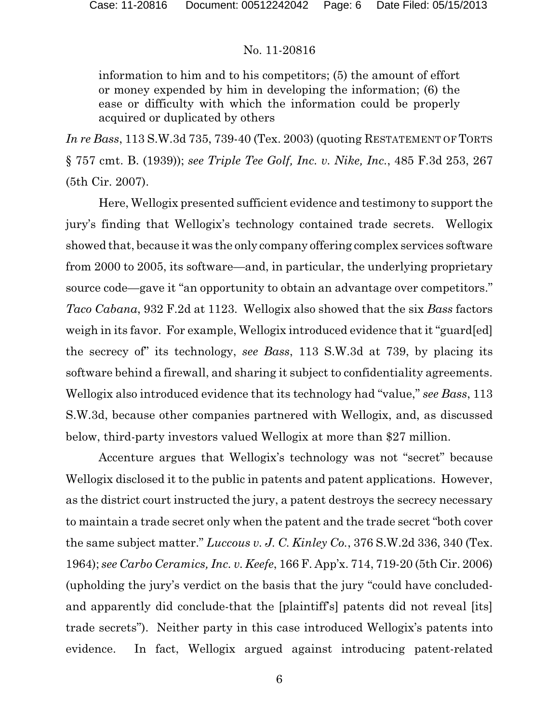information to him and to his competitors; (5) the amount of effort or money expended by him in developing the information; (6) the ease or difficulty with which the information could be properly acquired or duplicated by others

*In re Bass*, 113 S.W.3d 735, 739-40 (Tex. 2003) (quoting RESTATEMENT OF TORTS § 757 cmt. B. (1939)); *see Triple Tee Golf, Inc. v. Nike, Inc.*, 485 F.3d 253, 267 (5th Cir. 2007).

Here, Wellogix presented sufficient evidence and testimony to support the jury's finding that Wellogix's technology contained trade secrets. Wellogix showed that, because it was the only company offering complex services software from 2000 to 2005, its software—and, in particular, the underlying proprietary source code—gave it "an opportunity to obtain an advantage over competitors." *Taco Cabana*, 932 F.2d at 1123. Wellogix also showed that the six *Bass* factors weigh in its favor. For example, Wellogix introduced evidence that it "guard[ed] the secrecy of" its technology, *see Bass*, 113 S.W.3d at 739, by placing its software behind a firewall, and sharing it subject to confidentiality agreements. Wellogix also introduced evidence that its technology had "value," *see Bass*, 113 S.W.3d, because other companies partnered with Wellogix, and, as discussed below, third-party investors valued Wellogix at more than \$27 million.

Accenture argues that Wellogix's technology was not "secret" because Wellogix disclosed it to the public in patents and patent applications. However, as the district court instructed the jury, a patent destroys the secrecy necessary to maintain a trade secret only when the patent and the trade secret "both cover the same subject matter." *Luccous v. J. C. Kinley Co.*, 376 S.W.2d 336, 340 (Tex. 1964); *see Carbo Ceramics, Inc. v. Keefe*, 166 F. App'x. 714, 719-20 (5th Cir. 2006) (upholding the jury's verdict on the basis that the jury "could have concludedand apparently did conclude-that the [plaintiff's] patents did not reveal [its] trade secrets"). Neither party in this case introduced Wellogix's patents into evidence. In fact, Wellogix argued against introducing patent-related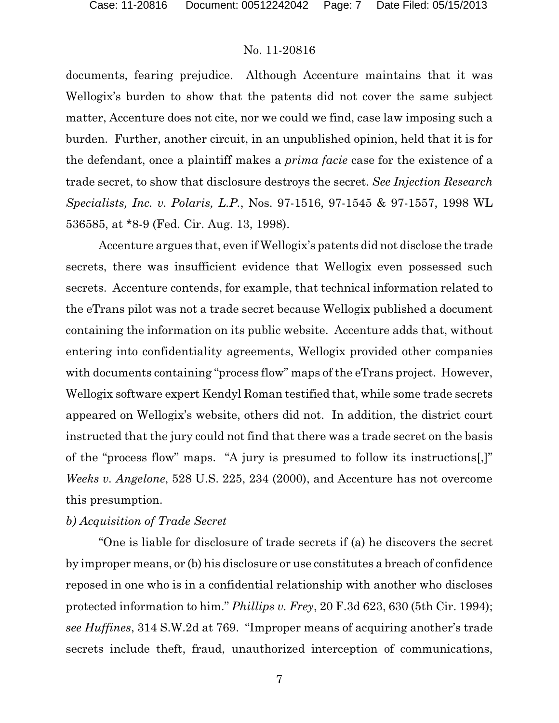documents, fearing prejudice. Although Accenture maintains that it was Wellogix's burden to show that the patents did not cover the same subject matter, Accenture does not cite, nor we could we find, case law imposing such a burden. Further, another circuit, in an unpublished opinion, held that it is for the defendant, once a plaintiff makes a *prima facie* case for the existence of a trade secret, to show that disclosure destroys the secret. *See Injection Research Specialists, Inc. v. Polaris, L.P.*, Nos. 97-1516, 97-1545 & 97-1557, 1998 WL 536585, at \*8-9 (Fed. Cir. Aug. 13, 1998).

Accenture argues that, even if Wellogix's patents did not disclose the trade secrets, there was insufficient evidence that Wellogix even possessed such secrets. Accenture contends, for example, that technical information related to the eTrans pilot was not a trade secret because Wellogix published a document containing the information on its public website. Accenture adds that, without entering into confidentiality agreements, Wellogix provided other companies with documents containing "process flow" maps of the eTrans project. However, Wellogix software expert Kendyl Roman testified that, while some trade secrets appeared on Wellogix's website, others did not. In addition, the district court instructed that the jury could not find that there was a trade secret on the basis of the "process flow" maps. "A jury is presumed to follow its instructions[,]" *Weeks v. Angelone*, 528 U.S. 225, 234 (2000), and Accenture has not overcome this presumption.

# *b) Acquisition of Trade Secret*

"One is liable for disclosure of trade secrets if (a) he discovers the secret by improper means, or (b) his disclosure or use constitutes a breach of confidence reposed in one who is in a confidential relationship with another who discloses protected information to him." *Phillips v. Frey*, 20 F.3d 623, 630 (5th Cir. 1994); *see Huffines*, 314 S.W.2d at 769. "Improper means of acquiring another's trade secrets include theft, fraud, unauthorized interception of communications,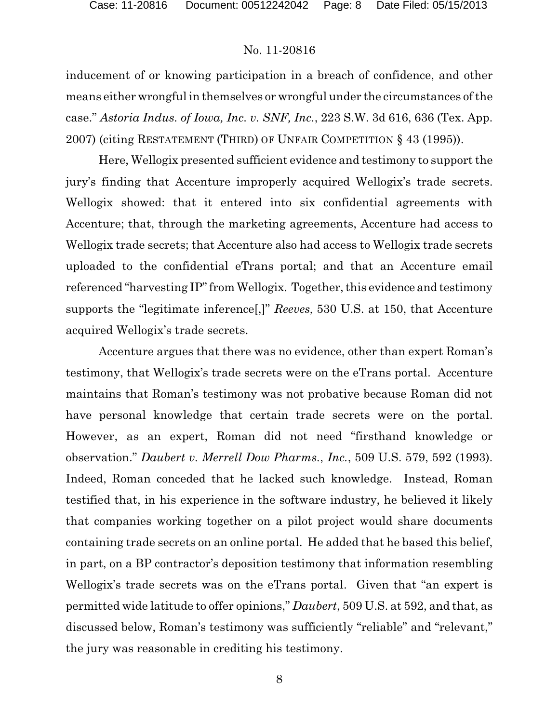inducement of or knowing participation in a breach of confidence, and other means either wrongful in themselves or wrongful under the circumstances of the case." *Astoria Indus. of Iowa, Inc. v. SNF, Inc.*, 223 S.W. 3d 616, 636 (Tex. App. 2007) (citing RESTATEMENT (THIRD) OF UNFAIR COMPETITION § 43 (1995)).

Here, Wellogix presented sufficient evidence and testimony to support the jury's finding that Accenture improperly acquired Wellogix's trade secrets. Wellogix showed: that it entered into six confidential agreements with Accenture; that, through the marketing agreements, Accenture had access to Wellogix trade secrets; that Accenture also had access to Wellogix trade secrets uploaded to the confidential eTrans portal; and that an Accenture email referenced "harvesting IP" from Wellogix. Together, this evidence and testimony supports the "legitimate inference[,]" *Reeves*, 530 U.S. at 150, that Accenture acquired Wellogix's trade secrets.

Accenture argues that there was no evidence, other than expert Roman's testimony, that Wellogix's trade secrets were on the eTrans portal. Accenture maintains that Roman's testimony was not probative because Roman did not have personal knowledge that certain trade secrets were on the portal. However, as an expert, Roman did not need "firsthand knowledge or observation." *Daubert v. Merrell Dow Pharms.*, *Inc.*, 509 U.S. 579, 592 (1993). Indeed, Roman conceded that he lacked such knowledge. Instead, Roman testified that, in his experience in the software industry, he believed it likely that companies working together on a pilot project would share documents containing trade secrets on an online portal. He added that he based this belief, in part, on a BP contractor's deposition testimony that information resembling Wellogix's trade secrets was on the eTrans portal. Given that "an expert is permitted wide latitude to offer opinions," *Daubert*, 509 U.S. at 592, and that, as discussed below, Roman's testimony was sufficiently "reliable" and "relevant," the jury was reasonable in crediting his testimony.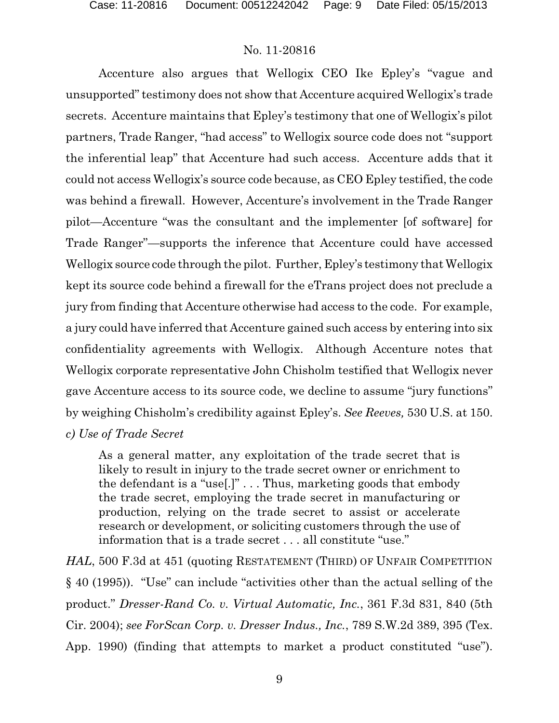Accenture also argues that Wellogix CEO Ike Epley's "vague and unsupported" testimony does not show that Accenture acquired Wellogix's trade secrets. Accenture maintains that Epley's testimony that one of Wellogix's pilot partners, Trade Ranger, "had access" to Wellogix source code does not "support the inferential leap" that Accenture had such access. Accenture adds that it could not access Wellogix's source code because, as CEO Epley testified, the code was behind a firewall. However, Accenture's involvement in the Trade Ranger pilot—Accenture "was the consultant and the implementer [of software] for Trade Ranger"—supports the inference that Accenture could have accessed Wellogix source code through the pilot. Further, Epley's testimony that Wellogix kept its source code behind a firewall for the eTrans project does not preclude a jury from finding that Accenture otherwise had access to the code. For example, a jury could have inferred that Accenture gained such access by entering into six confidentiality agreements with Wellogix. Although Accenture notes that Wellogix corporate representative John Chisholm testified that Wellogix never gave Accenture access to its source code, we decline to assume "jury functions" by weighing Chisholm's credibility against Epley's. *See Reeves,* 530 U.S. at 150. *c) Use of Trade Secret*

As a general matter, any exploitation of the trade secret that is likely to result in injury to the trade secret owner or enrichment to the defendant is a "use[.]" . . . Thus, marketing goods that embody the trade secret, employing the trade secret in manufacturing or production, relying on the trade secret to assist or accelerate research or development, or soliciting customers through the use of information that is a trade secret . . . all constitute "use."

*HAL*, 500 F.3d at 451 (quoting RESTATEMENT (THIRD) OF UNFAIR COMPETITION § 40 (1995)). "Use" can include "activities other than the actual selling of the product." *Dresser-Rand Co. v. Virtual Automatic, Inc.*, 361 F.3d 831, 840 (5th Cir. 2004); *see ForScan Corp. v. Dresser Indus., Inc.*, 789 S.W.2d 389, 395 (Tex. App. 1990) (finding that attempts to market a product constituted "use").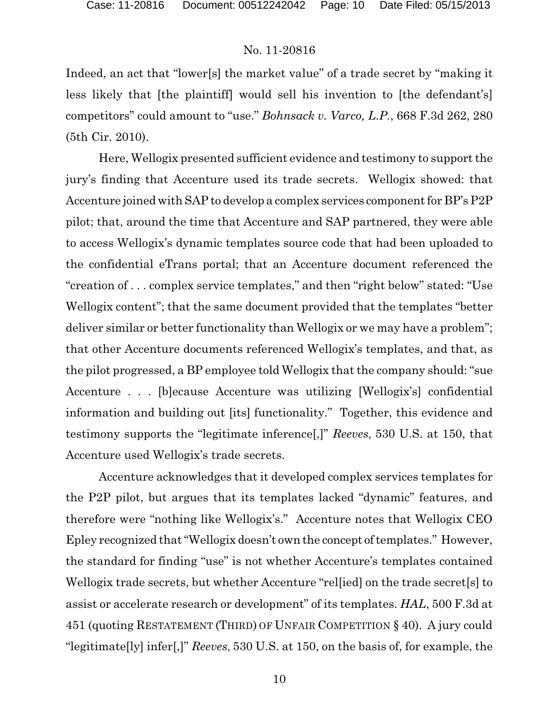Indeed, an act that "lower[s] the market value" of a trade secret by "making it less likely that [the plaintiff] would sell his invention to [the defendant's] competitors" could amount to "use." *Bohnsack v. Varco, L.P.*, 668 F.3d 262, 280 (5th Cir. 2010).

Here, Wellogix presented sufficient evidence and testimony to support the jury's finding that Accenture used its trade secrets. Wellogix showed: that Accenture joined with SAP to develop a complex services component for BP's P2P pilot; that, around the time that Accenture and SAP partnered, they were able to access Wellogix's dynamic templates source code that had been uploaded to the confidential eTrans portal; that an Accenture document referenced the "creation of . . . complex service templates," and then "right below" stated: "Use Wellogix content"; that the same document provided that the templates "better deliver similar or better functionality than Wellogix or we may have a problem"; that other Accenture documents referenced Wellogix's templates, and that, as the pilot progressed, a BP employee told Wellogix that the company should: "sue Accenture . . . [b]ecause Accenture was utilizing [Wellogix's] confidential information and building out [its] functionality." Together, this evidence and testimony supports the "legitimate inference[,]" *Reeves*, 530 U.S. at 150, that Accenture used Wellogix's trade secrets.

Accenture acknowledges that it developed complex services templates for the P2P pilot, but argues that its templates lacked "dynamic" features, and therefore were "nothing like Wellogix's." Accenture notes that Wellogix CEO Epley recognized that "Wellogix doesn't own the concept of templates." However, the standard for finding "use" is not whether Accenture's templates contained Wellogix trade secrets, but whether Accenture "rel[ied] on the trade secret[s] to assist or accelerate research or development" of its templates. *HAL*, 500 F.3d at 451 (quoting RESTATEMENT (THIRD) OF UNFAIR COMPETITION § 40). A jury could "legitimate[ly] infer[,]" *Reeves*, 530 U.S. at 150, on the basis of, for example, the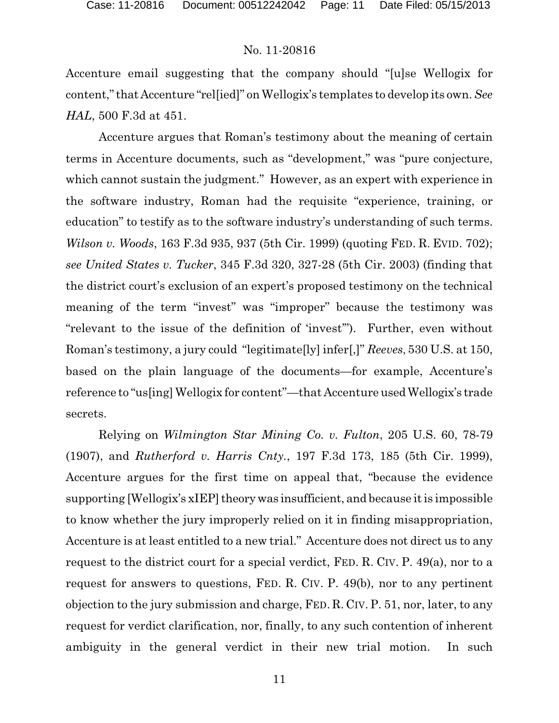Accenture email suggesting that the company should "[u]se Wellogix for content,"that Accenture "rel[ied]" on Wellogix's templates to develop its own. *See HAL*, 500 F.3d at 451.

Accenture argues that Roman's testimony about the meaning of certain terms in Accenture documents, such as "development," was "pure conjecture, which cannot sustain the judgment." However, as an expert with experience in the software industry, Roman had the requisite "experience, training, or education" to testify as to the software industry's understanding of such terms. *Wilson v. Woods*, 163 F.3d 935, 937 (5th Cir. 1999) (quoting FED. R. EVID. 702); *see United States v. Tucker*, 345 F.3d 320, 327-28 (5th Cir. 2003) (finding that the district court's exclusion of an expert's proposed testimony on the technical meaning of the term "invest" was "improper" because the testimony was "relevant to the issue of the definition of 'invest'"). Further, even without Roman's testimony, a jury could "legitimate[ly] infer[,]" *Reeves*, 530 U.S. at 150, based on the plain language of the documents—for example, Accenture's reference to "us[ing] Wellogix for content"—that Accenture used Wellogix's trade secrets.

Relying on *Wilmington Star Mining Co. v. Fulton*, 205 U.S. 60, 78-79 (1907), and *Rutherford v. Harris Cnty.*, 197 F.3d 173, 185 (5th Cir. 1999), Accenture argues for the first time on appeal that, "because the evidence supporting [Wellogix's xIEP] theory was insufficient, and because it is impossible to know whether the jury improperly relied on it in finding misappropriation, Accenture is at least entitled to a new trial." Accenture does not direct us to any request to the district court for a special verdict, FED. R. CIV. P. 49(a), nor to a request for answers to questions, FED. R. CIV. P. 49(b), nor to any pertinent objection to the jury submission and charge, FED. R. CIV.P. 51, nor, later, to any request for verdict clarification, nor, finally, to any such contention of inherent ambiguity in the general verdict in their new trial motion. In such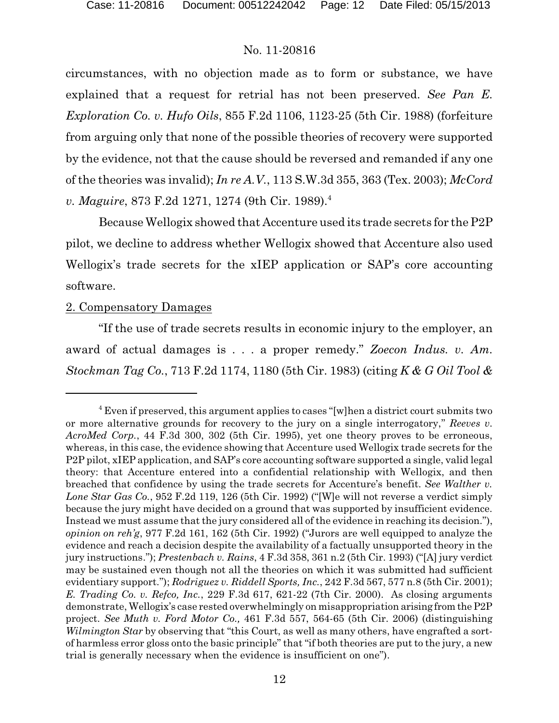circumstances, with no objection made as to form or substance, we have explained that a request for retrial has not been preserved. *See Pan E. Exploration Co. v. Hufo Oils*, 855 F.2d 1106, 1123-25 (5th Cir. 1988) (forfeiture from arguing only that none of the possible theories of recovery were supported by the evidence, not that the cause should be reversed and remanded if any one of the theories was invalid); *In re A.V.*, 113 S.W.3d 355, 363 (Tex. 2003); *McCord v. Maguire*, 873 F.2d 1271, 1274 (9th Cir. 1989).<sup>4</sup>

Because Wellogix showed that Accenture used its trade secrets for the P2P pilot, we decline to address whether Wellogix showed that Accenture also used Wellogix's trade secrets for the xIEP application or SAP's core accounting software.

# 2. Compensatory Damages

"If the use of trade secrets results in economic injury to the employer, an award of actual damages is . . . a proper remedy." *Zoecon Indus. v. Am. Stockman Tag Co.*, 713 F.2d 1174, 1180 (5th Cir. 1983) (citing *K & G Oil Tool &*

<sup>&</sup>lt;sup>4</sup> Even if preserved, this argument applies to cases "[w]hen a district court submits two or more alternative grounds for recovery to the jury on a single interrogatory," *Reeves v. AcroMed Corp.*, 44 F.3d 300, 302 (5th Cir. 1995), yet one theory proves to be erroneous, whereas, in this case, the evidence showing that Accenture used Wellogix trade secrets for the P2P pilot, xIEP application, and SAP's core accounting software supported a single, valid legal theory: that Accenture entered into a confidential relationship with Wellogix, and then breached that confidence by using the trade secrets for Accenture's benefit. *See Walther v. Lone Star Gas Co.*, 952 F.2d 119, 126 (5th Cir. 1992) ("[W]e will not reverse a verdict simply because the jury might have decided on a ground that was supported by insufficient evidence. Instead we must assume that the jury considered all of the evidence in reaching its decision."), *opinion on reh'g*, 977 F.2d 161, 162 (5th Cir. 1992) ("Jurors are well equipped to analyze the evidence and reach a decision despite the availability of a factually unsupported theory in the jury instructions."); *Prestenbach v. Rains*, 4 F.3d 358, 361 n.2 (5th Cir. 1993) ("[A] jury verdict may be sustained even though not all the theories on which it was submitted had sufficient evidentiary support."); *Rodriguez v. Riddell Sports, Inc.*, 242 F.3d 567, 577 n.8 (5th Cir. 2001); *E. Trading Co. v. Refco, Inc.*, 229 F.3d 617, 621-22 (7th Cir. 2000). As closing arguments demonstrate, Wellogix's case rested overwhelmingly on misappropriation arising from theP2P project. *See Muth v. Ford Motor Co.,* 461 F.3d 557, 564-65 (5th Cir. 2006) (distinguishing *Wilmington Star* by observing that "this Court, as well as many others, have engrafted a sortof harmless error gloss onto the basic principle" that "if both theories are put to the jury, a new trial is generally necessary when the evidence is insufficient on one").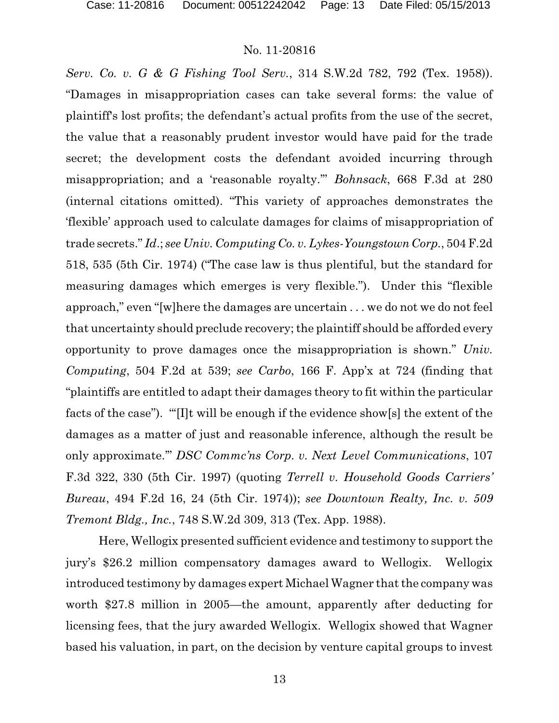*Serv. Co. v. G & G Fishing Tool Serv.*, 314 S.W.2d 782, 792 (Tex. 1958)). "Damages in misappropriation cases can take several forms: the value of plaintiff's lost profits; the defendant's actual profits from the use of the secret, the value that a reasonably prudent investor would have paid for the trade secret; the development costs the defendant avoided incurring through misappropriation; and a 'reasonable royalty.'" *Bohnsack*, 668 F.3d at 280 (internal citations omitted). "This variety of approaches demonstrates the 'flexible' approach used to calculate damages for claims of misappropriation of trade secrets." *Id*.; *see Univ. Computing Co. v. Lykes-Youngstown Corp.*, 504 F.2d 518, 535 (5th Cir. 1974) ("The case law is thus plentiful, but the standard for measuring damages which emerges is very flexible."). Under this "flexible approach," even "[w]here the damages are uncertain . . . we do not we do not feel that uncertainty should preclude recovery; the plaintiff should be afforded every opportunity to prove damages once the misappropriation is shown." *Univ. Computing*, 504 F.2d at 539; *see Carbo*, 166 F. App'x at 724 (finding that "plaintiffs are entitled to adapt their damages theory to fit within the particular facts of the case"). "'[I]t will be enough if the evidence show[s] the extent of the damages as a matter of just and reasonable inference, although the result be only approximate.'" *DSC Commc'ns Corp. v. Next Level Communications*, 107 F.3d 322, 330 (5th Cir. 1997) (quoting *Terrell v. Household Goods Carriers' Bureau*, 494 F.2d 16, 24 (5th Cir. 1974)); *see Downtown Realty, Inc. v. 509 Tremont Bldg., Inc.*, 748 S.W.2d 309, 313 (Tex. App. 1988).

Here, Wellogix presented sufficient evidence and testimony to support the jury's \$26.2 million compensatory damages award to Wellogix. Wellogix introduced testimony by damages expert Michael Wagner that the company was worth \$27.8 million in 2005—the amount, apparently after deducting for licensing fees, that the jury awarded Wellogix. Wellogix showed that Wagner based his valuation, in part, on the decision by venture capital groups to invest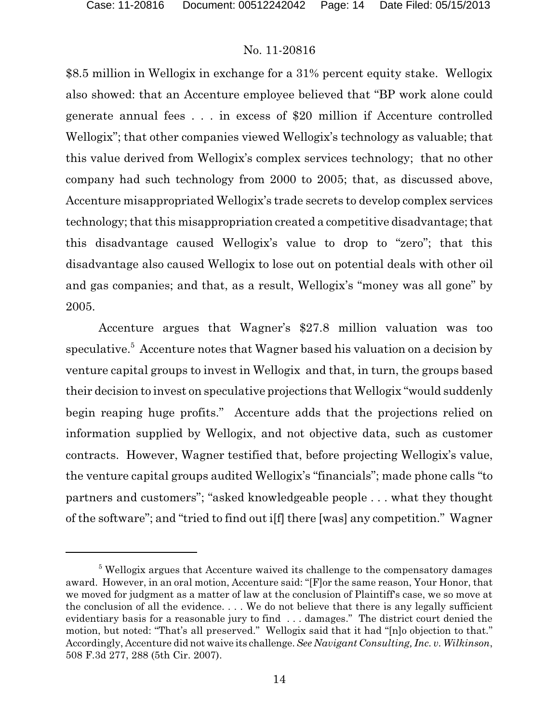\$8.5 million in Wellogix in exchange for a 31% percent equity stake. Wellogix also showed: that an Accenture employee believed that "BP work alone could generate annual fees . . . in excess of \$20 million if Accenture controlled Wellogix"; that other companies viewed Wellogix's technology as valuable; that this value derived from Wellogix's complex services technology; that no other company had such technology from 2000 to 2005; that, as discussed above, Accenture misappropriated Wellogix's trade secrets to develop complex services technology; that this misappropriation created a competitive disadvantage; that this disadvantage caused Wellogix's value to drop to "zero"; that this disadvantage also caused Wellogix to lose out on potential deals with other oil and gas companies; and that, as a result, Wellogix's "money was all gone" by 2005.

Accenture argues that Wagner's \$27.8 million valuation was too speculative.<sup>5</sup> Accenture notes that Wagner based his valuation on a decision by venture capital groups to invest in Wellogix and that, in turn, the groups based their decision to invest on speculative projections that Wellogix "would suddenly begin reaping huge profits." Accenture adds that the projections relied on information supplied by Wellogix, and not objective data, such as customer contracts. However, Wagner testified that, before projecting Wellogix's value, the venture capital groups audited Wellogix's "financials"; made phone calls "to partners and customers"; "asked knowledgeable people . . . what they thought of the software"; and "tried to find out i[f] there [was] any competition." Wagner

<sup>&</sup>lt;sup>5</sup> Wellogix argues that Accenture waived its challenge to the compensatory damages award. However, in an oral motion, Accenture said: "[F]or the same reason, Your Honor, that we moved for judgment as a matter of law at the conclusion of Plaintiff's case, we so move at the conclusion of all the evidence. . . . We do not believe that there is any legally sufficient evidentiary basis for a reasonable jury to find . . . damages." The district court denied the motion, but noted: "That's all preserved." Wellogix said that it had "[n]o objection to that." Accordingly, Accenture did not waive its challenge.*See Navigant Consulting, Inc. v. Wilkinson*, 508 F.3d 277, 288 (5th Cir. 2007).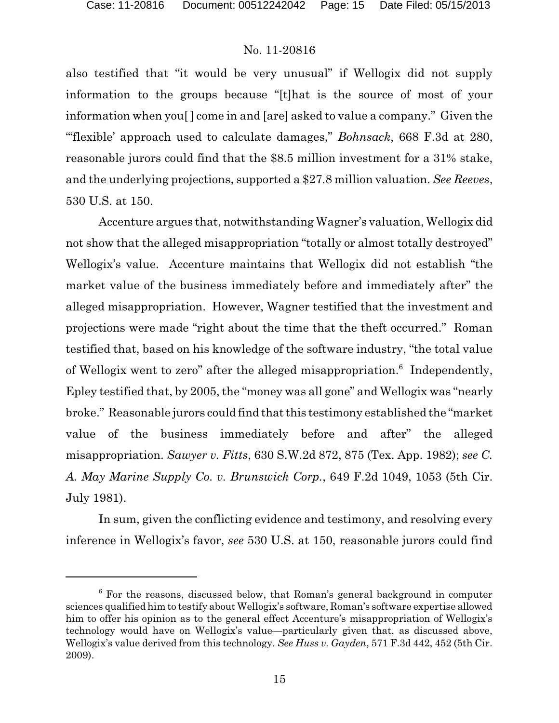also testified that "it would be very unusual" if Wellogix did not supply information to the groups because "[t]hat is the source of most of your information when you[ ] come in and [are] asked to value a company." Given the "'flexible' approach used to calculate damages," *Bohnsack*, 668 F.3d at 280, reasonable jurors could find that the \$8.5 million investment for a 31% stake, and the underlying projections, supported a \$27.8 million valuation. *See Reeves*, 530 U.S. at 150.

Accenture argues that, notwithstanding Wagner's valuation, Wellogix did not show that the alleged misappropriation "totally or almost totally destroyed" Wellogix's value. Accenture maintains that Wellogix did not establish "the market value of the business immediately before and immediately after" the alleged misappropriation. However, Wagner testified that the investment and projections were made "right about the time that the theft occurred." Roman testified that, based on his knowledge of the software industry, "the total value of Wellogix went to zero" after the alleged misappropriation.<sup>6</sup> Independently, Epley testified that, by 2005, the "money was all gone" and Wellogix was "nearly broke." Reasonable jurors could find thatthis testimony established the "market value of the business immediately before and after" the alleged misappropriation. *Sawyer v. Fitts*, 630 S.W.2d 872, 875 (Tex. App. 1982); *see C. A. May Marine Supply Co. v. Brunswick Corp.*, 649 F.2d 1049, 1053 (5th Cir. July 1981).

In sum, given the conflicting evidence and testimony, and resolving every inference in Wellogix's favor, *see* 530 U.S. at 150, reasonable jurors could find

<sup>&</sup>lt;sup>6</sup> For the reasons, discussed below, that Roman's general background in computer sciences qualified him to testify about Wellogix's software, Roman's software expertise allowed him to offer his opinion as to the general effect Accenture's misappropriation of Wellogix's technology would have on Wellogix's value—particularly given that, as discussed above, Wellogix's value derived from this technology. *See Huss v. Gayden*, 571 F.3d 442, 452 (5th Cir. 2009).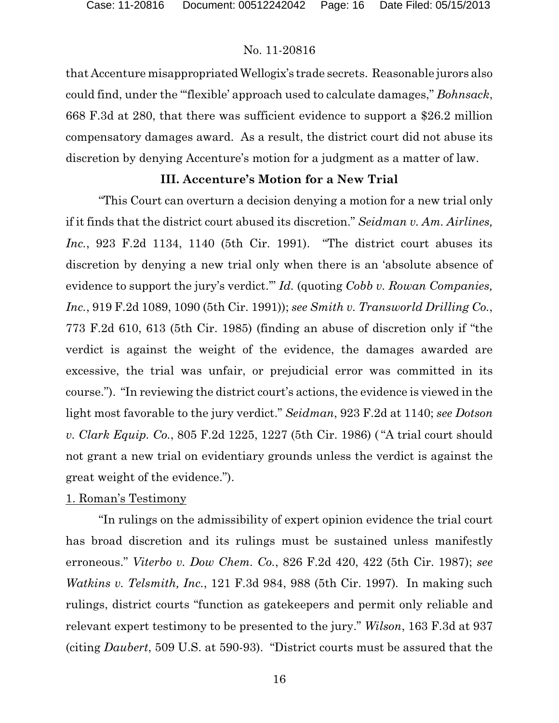that Accenture misappropriatedWellogix's trade secrets. Reasonable jurors also could find, under the "'flexible' approach used to calculate damages," *Bohnsack*, 668 F.3d at 280, that there was sufficient evidence to support a \$26.2 million compensatory damages award. As a result, the district court did not abuse its discretion by denying Accenture's motion for a judgment as a matter of law.

# **III. Accenture's Motion for a New Trial**

"This Court can overturn a decision denying a motion for a new trial only if it finds that the district court abused its discretion." *Seidman v. Am. Airlines, Inc.*, 923 F.2d 1134, 1140 (5th Cir. 1991). "The district court abuses its discretion by denying a new trial only when there is an 'absolute absence of evidence to support the jury's verdict.'" *Id.* (quoting *Cobb v. Rowan Companies, Inc.*, 919 F.2d 1089, 1090 (5th Cir. 1991)); *see Smith v. Transworld Drilling Co.*, 773 F.2d 610, 613 (5th Cir. 1985) (finding an abuse of discretion only if "the verdict is against the weight of the evidence, the damages awarded are excessive, the trial was unfair, or prejudicial error was committed in its course."). "In reviewing the district court's actions, the evidence is viewed in the light most favorable to the jury verdict." *Seidman*, 923 F.2d at 1140; *see Dotson v. Clark Equip. Co.*, 805 F.2d 1225, 1227 (5th Cir. 1986) ( "A trial court should not grant a new trial on evidentiary grounds unless the verdict is against the great weight of the evidence.").

# 1. Roman's Testimony

"In rulings on the admissibility of expert opinion evidence the trial court has broad discretion and its rulings must be sustained unless manifestly erroneous." *Viterbo v. Dow Chem. Co.*, 826 F.2d 420, 422 (5th Cir. 1987); *see Watkins v. Telsmith, Inc.*, 121 F.3d 984, 988 (5th Cir. 1997)*.* In making such rulings, district courts "function as gatekeepers and permit only reliable and relevant expert testimony to be presented to the jury." *Wilson*, 163 F.3d at 937 (citing *Daubert*, 509 U.S. at 590-93). "District courts must be assured that the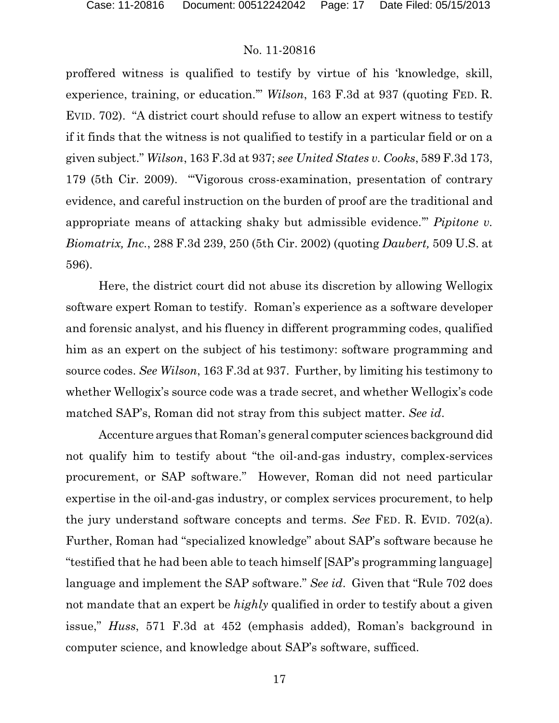proffered witness is qualified to testify by virtue of his 'knowledge, skill, experience, training, or education.'" *Wilson*, 163 F.3d at 937 (quoting FED. R. EVID. 702). "A district court should refuse to allow an expert witness to testify if it finds that the witness is not qualified to testify in a particular field or on a given subject." *Wilson*, 163 F.3d at 937; *see United States v. Cooks*, 589 F.3d 173, 179 (5th Cir. 2009). "'Vigorous cross-examination, presentation of contrary evidence, and careful instruction on the burden of proof are the traditional and appropriate means of attacking shaky but admissible evidence.'" *Pipitone v. Biomatrix, Inc.*, 288 F.3d 239, 250 (5th Cir. 2002) (quoting *Daubert,* 509 U.S. at 596).

Here, the district court did not abuse its discretion by allowing Wellogix software expert Roman to testify. Roman's experience as a software developer and forensic analyst, and his fluency in different programming codes, qualified him as an expert on the subject of his testimony: software programming and source codes. *See Wilson*, 163 F.3d at 937. Further, by limiting his testimony to whether Wellogix's source code was a trade secret, and whether Wellogix's code matched SAP's, Roman did not stray from this subject matter. *See id*.

Accenture argues that Roman's general computer sciences background did not qualify him to testify about "the oil-and-gas industry, complex-services procurement, or SAP software." However, Roman did not need particular expertise in the oil-and-gas industry, or complex services procurement, to help the jury understand software concepts and terms. *See* FED. R. EVID. 702(a). Further, Roman had "specialized knowledge" about SAP's software because he "testified that he had been able to teach himself [SAP's programming language] language and implement the SAP software." *See id*. Given that "Rule 702 does not mandate that an expert be *highly* qualified in order to testify about a given issue," *Huss*, 571 F.3d at 452 (emphasis added), Roman's background in computer science, and knowledge about SAP's software, sufficed.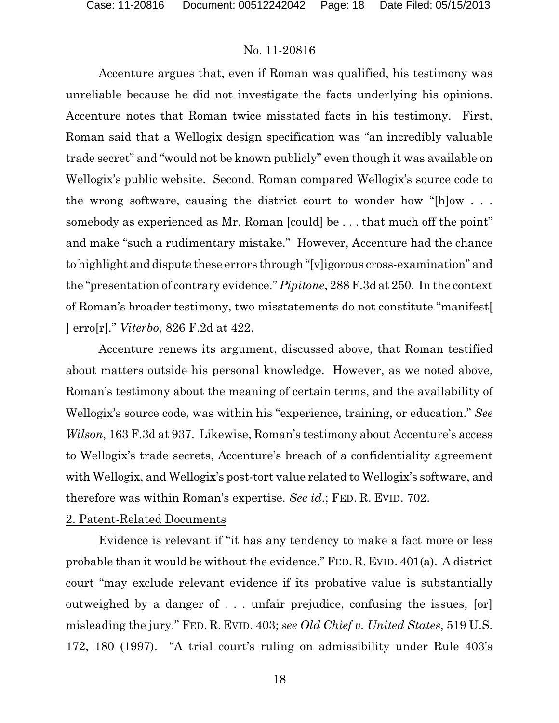Accenture argues that, even if Roman was qualified, his testimony was unreliable because he did not investigate the facts underlying his opinions. Accenture notes that Roman twice misstated facts in his testimony. First, Roman said that a Wellogix design specification was "an incredibly valuable trade secret" and "would not be known publicly" even though it was available on Wellogix's public website. Second, Roman compared Wellogix's source code to the wrong software, causing the district court to wonder how "[h]ow . . . somebody as experienced as Mr. Roman [could] be ... that much off the point" and make "such a rudimentary mistake." However, Accenture had the chance to highlight and dispute these errors through "[v]igorous cross-examination" and the "presentation of contrary evidence." *Pipitone*, 288 F.3d at 250. In the context of Roman's broader testimony, two misstatements do not constitute "manifest[ ] erro[r]." *Viterbo*, 826 F.2d at 422.

Accenture renews its argument, discussed above, that Roman testified about matters outside his personal knowledge. However, as we noted above, Roman's testimony about the meaning of certain terms, and the availability of Wellogix's source code, was within his "experience, training, or education." *See Wilson*, 163 F.3d at 937. Likewise, Roman's testimony about Accenture's access to Wellogix's trade secrets, Accenture's breach of a confidentiality agreement with Wellogix, and Wellogix's post-tort value related to Wellogix's software, and therefore was within Roman's expertise. *See id*.; FED. R. EVID. 702.

#### 2. Patent-Related Documents

Evidence is relevant if "it has any tendency to make a fact more or less probable than it would be without the evidence." FED. R. EVID. 401(a). A district court "may exclude relevant evidence if its probative value is substantially outweighed by a danger of . . . unfair prejudice, confusing the issues, [or] misleading the jury." FED. R. EVID. 403; *see Old Chief v. United States*, 519 U.S. 172, 180 (1997). "A trial court's ruling on admissibility under Rule 403's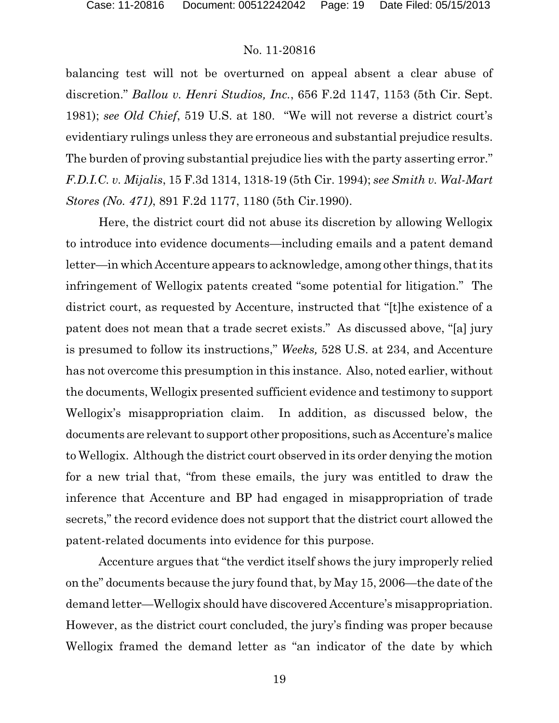balancing test will not be overturned on appeal absent a clear abuse of discretion." *Ballou v. Henri Studios, Inc.*, 656 F.2d 1147, 1153 (5th Cir. Sept. 1981); *see Old Chief*, 519 U.S. at 180. "We will not reverse a district court's evidentiary rulings unless they are erroneous and substantial prejudice results. The burden of proving substantial prejudice lies with the party asserting error." *F.D.I.C. v. Mijalis*, 15 F.3d 1314, 1318-19 (5th Cir. 1994); *see Smith v. Wal-Mart Stores (No. 471)*, 891 F.2d 1177, 1180 (5th Cir.1990).

Here, the district court did not abuse its discretion by allowing Wellogix to introduce into evidence documents—including emails and a patent demand letter—in which Accenture appears to acknowledge, among other things, that its infringement of Wellogix patents created "some potential for litigation." The district court, as requested by Accenture, instructed that "[t]he existence of a patent does not mean that a trade secret exists." As discussed above, "[a] jury is presumed to follow its instructions," *Weeks,* 528 U.S. at 234, and Accenture has not overcome this presumption in this instance. Also, noted earlier, without the documents, Wellogix presented sufficient evidence and testimony to support Wellogix's misappropriation claim. In addition, as discussed below, the documents are relevant to support other propositions, suchas Accenture's malice to Wellogix. Although the district court observed in its order denying the motion for a new trial that, "from these emails, the jury was entitled to draw the inference that Accenture and BP had engaged in misappropriation of trade secrets," the record evidence does not support that the district court allowed the patent-related documents into evidence for this purpose.

Accenture argues that "the verdict itself shows the jury improperly relied on the" documents because the jury found that, by May 15, 2006—the date of the demand letter—Wellogix should have discovered Accenture's misappropriation. However, as the district court concluded, the jury's finding was proper because Wellogix framed the demand letter as "an indicator of the date by which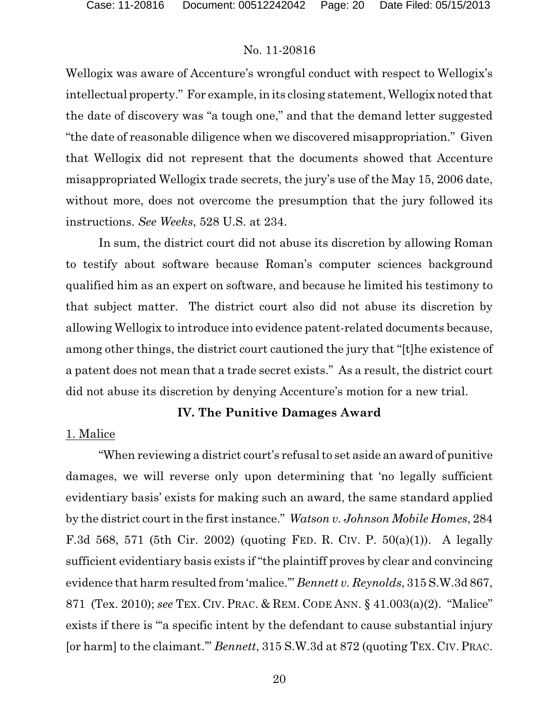Wellogix was aware of Accenture's wrongful conduct with respect to Wellogix's intellectual property." For example, in its closing statement, Wellogix noted that the date of discovery was "a tough one," and that the demand letter suggested "the date of reasonable diligence when we discovered misappropriation." Given that Wellogix did not represent that the documents showed that Accenture misappropriated Wellogix trade secrets, the jury's use of the May 15, 2006 date, without more, does not overcome the presumption that the jury followed its instructions. *See Weeks*, 528 U.S. at 234.

In sum, the district court did not abuse its discretion by allowing Roman to testify about software because Roman's computer sciences background qualified him as an expert on software, and because he limited his testimony to that subject matter. The district court also did not abuse its discretion by allowing Wellogix to introduce into evidence patent-related documents because, among other things, the district court cautioned the jury that "[t]he existence of a patent does not mean that a trade secret exists." As a result, the district court did not abuse its discretion by denying Accenture's motion for a new trial.

# **IV. The Punitive Damages Award**

#### 1. Malice

"When reviewing a district court's refusal to set aside an award of punitive damages, we will reverse only upon determining that 'no legally sufficient evidentiary basis' exists for making such an award, the same standard applied by the district court in the first instance." *Watson v. Johnson Mobile Homes*, 284 F.3d 568, 571 (5th Cir. 2002) (quoting FED. R. CIV. P. 50(a)(1)). A legally sufficient evidentiary basis exists if "the plaintiff proves by clear and convincing evidence that harm resulted from 'malice.'" *Bennett v. Reynolds*, 315 S.W.3d 867, 871 (Tex. 2010); *see* TEX. CIV. PRAC. & REM. CODE ANN. § 41.003(a)(2). "Malice" exists if there is "'a specific intent by the defendant to cause substantial injury [or harm] to the claimant.'" *Bennett*, 315 S.W.3d at 872 (quoting TEX. CIV.PRAC.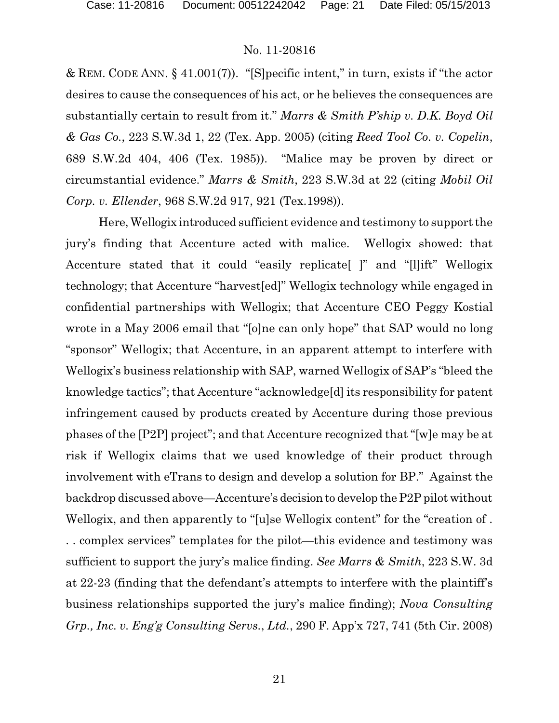& REM. CODE ANN. § 41.001(7)). "[S]pecific intent," in turn, exists if "the actor desires to cause the consequences of his act, or he believes the consequences are substantially certain to result from it." *Marrs & Smith P'ship v. D.K. Boyd Oil & Gas Co.*, 223 S.W.3d 1, 22 (Tex. App. 2005) (citing *Reed Tool Co. v. Copelin*, 689 S.W.2d 404, 406 (Tex. 1985)). "Malice may be proven by direct or circumstantial evidence." *Marrs & Smith*, 223 S.W.3d at 22 (citing *Mobil Oil Corp. v. Ellender*, 968 S.W.2d 917, 921 (Tex.1998)).

Here,Wellogix introduced sufficient evidence and testimony to support the jury's finding that Accenture acted with malice. Wellogix showed: that Accenture stated that it could "easily replicate[ ]" and "[l]ift" Wellogix technology; that Accenture "harvest[ed]" Wellogix technology while engaged in confidential partnerships with Wellogix; that Accenture CEO Peggy Kostial wrote in a May 2006 email that "[o]ne can only hope" that SAP would no long "sponsor" Wellogix; that Accenture, in an apparent attempt to interfere with Wellogix's business relationship with SAP, warned Wellogix of SAP's "bleed the knowledge tactics"; that Accenture "acknowledge[d] its responsibility for patent infringement caused by products created by Accenture during those previous phases of the [P2P] project"; and that Accenture recognized that "[w]e may be at risk if Wellogix claims that we used knowledge of their product through involvement with eTrans to design and develop a solution for BP." Against the backdrop discussed above—Accenture's decision to develop theP2P pilot without Wellogix, and then apparently to "[u]se Wellogix content" for the "creation of . . . complex services" templates for the pilot—this evidence and testimony was sufficient to support the jury's malice finding. *See Marrs & Smith*, 223 S.W. 3d at 22-23 (finding that the defendant's attempts to interfere with the plaintiff's business relationships supported the jury's malice finding); *Nova Consulting Grp., Inc. v. Eng'g Consulting Servs.*, *Ltd.*, 290 F. App'x 727, 741 (5th Cir. 2008)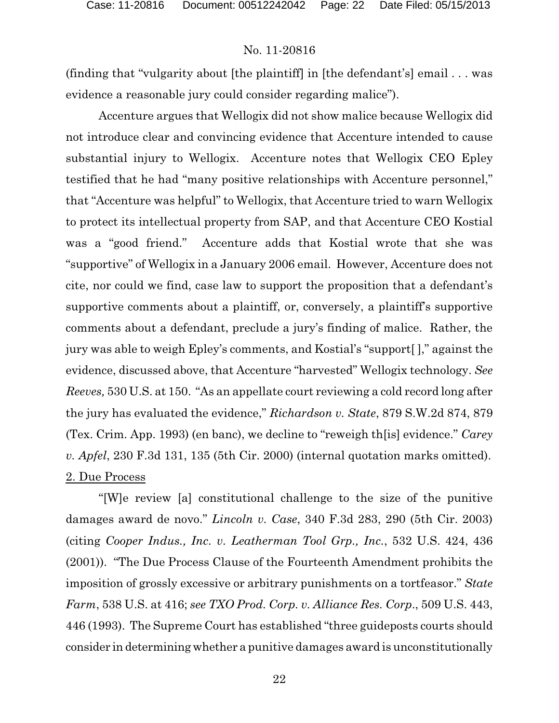(finding that "vulgarity about [the plaintiff] in [the defendant's] email . . . was evidence a reasonable jury could consider regarding malice").

Accenture argues that Wellogix did not show malice because Wellogix did not introduce clear and convincing evidence that Accenture intended to cause substantial injury to Wellogix. Accenture notes that Wellogix CEO Epley testified that he had "many positive relationships with Accenture personnel," that "Accenture was helpful" to Wellogix, that Accenture tried to warn Wellogix to protect its intellectual property from SAP, and that Accenture CEO Kostial was a "good friend." Accenture adds that Kostial wrote that she was "supportive" of Wellogix in a January 2006 email. However, Accenture does not cite, nor could we find, case law to support the proposition that a defendant's supportive comments about a plaintiff, or, conversely, a plaintiff's supportive comments about a defendant, preclude a jury's finding of malice. Rather, the jury was able to weigh Epley's comments, and Kostial's "support[ ]," against the evidence, discussed above, that Accenture "harvested" Wellogix technology. *See Reeves,* 530 U.S. at 150. "As an appellate court reviewing a cold record long after the jury has evaluated the evidence," *Richardson v. State*, 879 S.W.2d 874, 879 (Tex. Crim. App. 1993) (en banc), we decline to "reweigh th[is] evidence." *Carey v. Apfel*, 230 F.3d 131, 135 (5th Cir. 2000) (internal quotation marks omitted). 2. Due Process

"[W]e review [a] constitutional challenge to the size of the punitive damages award de novo." *Lincoln v. Case*, 340 F.3d 283, 290 (5th Cir. 2003) (citing *Cooper Indus., Inc. v. Leatherman Tool Grp., Inc.*, 532 U.S. 424, 436 (2001)). "The Due Process Clause of the Fourteenth Amendment prohibits the imposition of grossly excessive or arbitrary punishments on a tortfeasor." *State Farm*, 538 U.S. at 416; *see TXO Prod. Corp. v. Alliance Res. Corp*., 509 U.S. 443, 446 (1993). The Supreme Court has established "three guideposts courts should consider in determining whether a punitive damages award is unconstitutionally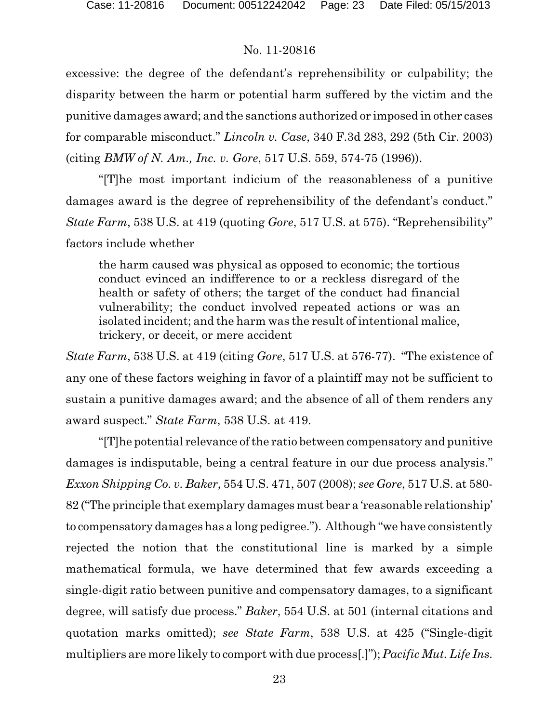excessive: the degree of the defendant's reprehensibility or culpability; the disparity between the harm or potential harm suffered by the victim and the punitive damages award; and the sanctions authorized or imposed in other cases for comparable misconduct." *Lincoln v. Case*, 340 F.3d 283, 292 (5th Cir. 2003) (citing *BMW of N. Am., Inc. v. Gore*, 517 U.S. 559, 574-75 (1996)).

"[T]he most important indicium of the reasonableness of a punitive damages award is the degree of reprehensibility of the defendant's conduct." *State Farm*, 538 U.S. at 419 (quoting *Gore*, 517 U.S. at 575). "Reprehensibility" factors include whether

the harm caused was physical as opposed to economic; the tortious conduct evinced an indifference to or a reckless disregard of the health or safety of others; the target of the conduct had financial vulnerability; the conduct involved repeated actions or was an isolated incident; and the harm was the result of intentional malice, trickery, or deceit, or mere accident

*State Farm*, 538 U.S. at 419 (citing *Gore*, 517 U.S. at 576-77). "The existence of any one of these factors weighing in favor of a plaintiff may not be sufficient to sustain a punitive damages award; and the absence of all of them renders any award suspect." *State Farm*, 538 U.S. at 419.

"[T]he potential relevance of the ratio between compensatory and punitive damages is indisputable, being a central feature in our due process analysis." *Exxon Shipping Co. v. Baker*, 554 U.S. 471, 507 (2008); *see Gore*, 517 U.S. at 580- 82 ("The principle that exemplary damages must bear a 'reasonable relationship' to compensatory damages has a long pedigree."). Although "we have consistently rejected the notion that the constitutional line is marked by a simple mathematical formula, we have determined that few awards exceeding a single-digit ratio between punitive and compensatory damages, to a significant degree, will satisfy due process." *Baker*, 554 U.S. at 501 (internal citations and quotation marks omitted); *see State Farm*, 538 U.S. at 425 ("Single-digit multipliers are more likely to comport with due process[.]"); *Pacific Mut. Life Ins.*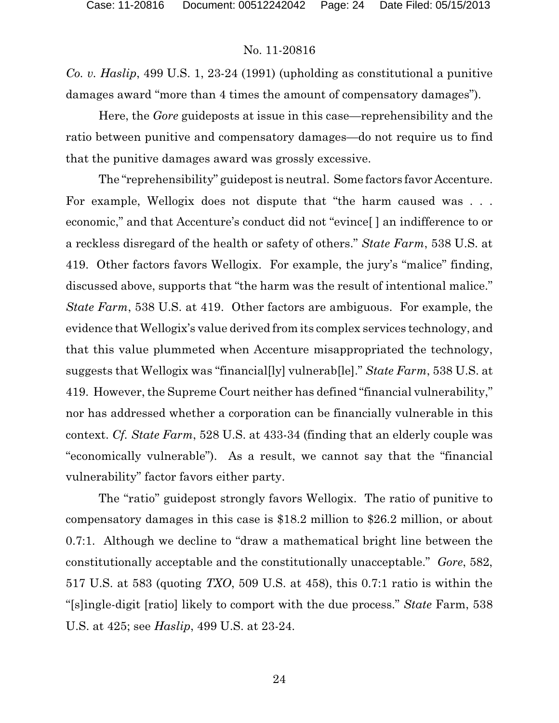*Co. v. Haslip*, 499 U.S. 1, 23-24 (1991) (upholding as constitutional a punitive damages award "more than 4 times the amount of compensatory damages").

Here, the *Gore* guideposts at issue in this case—reprehensibility and the ratio between punitive and compensatory damages—do not require us to find that the punitive damages award was grossly excessive.

The "reprehensibility" guidepost is neutral. Some factors favor Accenture. For example, Wellogix does not dispute that "the harm caused was . . . economic," and that Accenture's conduct did not "evince[ ] an indifference to or a reckless disregard of the health or safety of others." *State Farm*, 538 U.S. at 419. Other factors favors Wellogix. For example, the jury's "malice" finding, discussed above, supports that "the harm was the result of intentional malice." *State Farm*, 538 U.S. at 419. Other factors are ambiguous. For example, the evidence that Wellogix's value derived from its complex services technology, and that this value plummeted when Accenture misappropriated the technology, suggests that Wellogix was "financial[ly] vulnerab[le]." *State Farm*, 538 U.S. at 419. However, the Supreme Court neither has defined "financial vulnerability," nor has addressed whether a corporation can be financially vulnerable in this context. *Cf. State Farm*, 528 U.S. at 433-34 (finding that an elderly couple was "economically vulnerable"). As a result, we cannot say that the "financial vulnerability" factor favors either party.

The "ratio" guidepost strongly favors Wellogix. The ratio of punitive to compensatory damages in this case is \$18.2 million to \$26.2 million, or about 0.7:1. Although we decline to "draw a mathematical bright line between the constitutionally acceptable and the constitutionally unacceptable." *Gore*, 582, 517 U.S. at 583 (quoting *TXO*, 509 U.S. at 458), this 0.7:1 ratio is within the "[s]ingle-digit [ratio] likely to comport with the due process." *State* Farm, 538 U.S. at 425; see *Haslip*, 499 U.S. at 23-24.

24